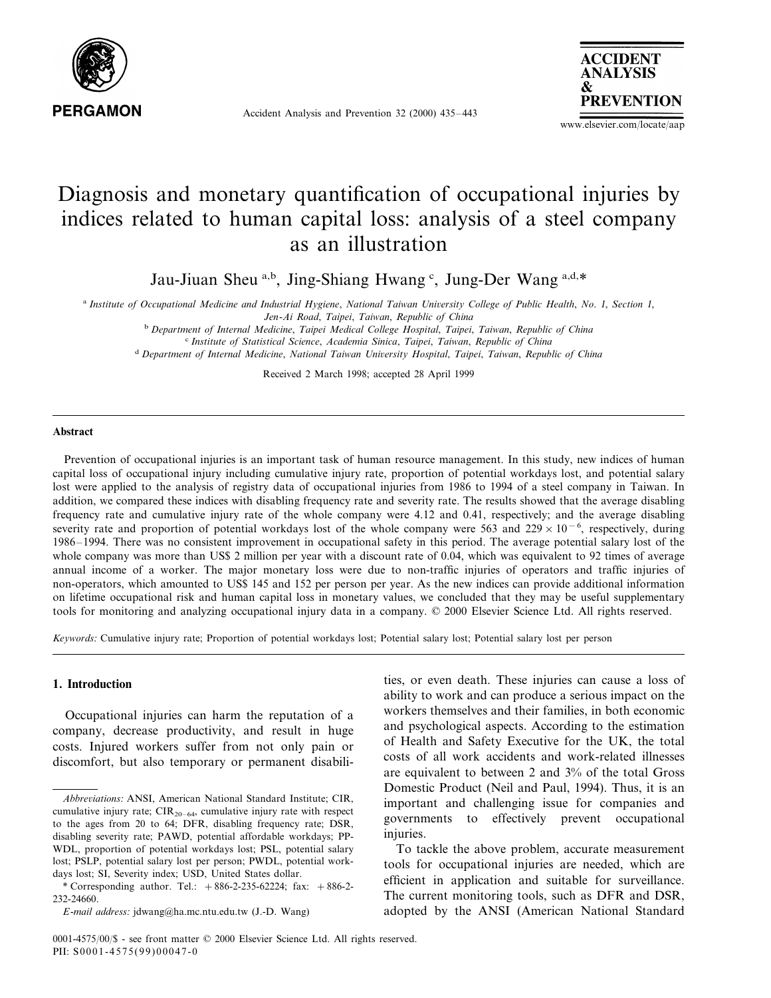

Accident Analysis and Prevention 32 (2000) 435–443



www.elsevier.com/locate/aap

# Diagnosis and monetary quantification of occupational injuries by indices related to human capital loss: analysis of a steel company as an illustration

Jau-Jiuan Sheu a,b, Jing-Shiang Hwang c, Jung-Der Wang a,d,\*

<sup>a</sup> Institute of Occupational Medicine and Industrial Hygiene, National Taiwan University College of Public Health, No. 1, Section 1,

*Jen*-*Ai Road*, *Taipei*, *Taiwan*, *Republic of China*

<sup>b</sup> *Department of Internal Medicine*, *Taipei Medical College Hospital*, *Taipei*, *Taiwan*, *Republic of China*

<sup>c</sup> *Institute of Statistical Science*, *Academia Sinica*, *Taipei*, *Taiwan*, *Republic of China*

<sup>d</sup> *Department of Internal Medicine*, *National Taiwan Uni*6*ersity Hospital*, *Taipei*, *Taiwan*, *Republic of China*

Received 2 March 1998; accepted 28 April 1999

#### **Abstract**

Prevention of occupational injuries is an important task of human resource management. In this study, new indices of human capital loss of occupational injury including cumulative injury rate, proportion of potential workdays lost, and potential salary lost were applied to the analysis of registry data of occupational injuries from 1986 to 1994 of a steel company in Taiwan. In addition, we compared these indices with disabling frequency rate and severity rate. The results showed that the average disabling frequency rate and cumulative injury rate of the whole company were 4.12 and 0.41, respectively; and the average disabling severity rate and proportion of potential workdays lost of the whole company were 563 and 229 × 10<sup>-6</sup>, respectively, during 1986–1994. There was no consistent improvement in occupational safety in this period. The average potential salary lost of the whole company was more than US\$ 2 million per year with a discount rate of 0.04, which was equivalent to 92 times of average annual income of a worker. The major monetary loss were due to non-traffic injuries of operators and traffic injuries of non-operators, which amounted to US\$ 145 and 152 per person per year. As the new indices can provide additional information on lifetime occupational risk and human capital loss in monetary values, we concluded that they may be useful supplementary tools for monitoring and analyzing occupational injury data in a company. © 2000 Elsevier Science Ltd. All rights reserved.

*Keywords*: Cumulative injury rate; Proportion of potential workdays lost; Potential salary lost; Potential salary lost per person

#### **1. Introduction**

Occupational injuries can harm the reputation of a company, decrease productivity, and result in huge costs. Injured workers suffer from not only pain or discomfort, but also temporary or permanent disabilities, or even death. These injuries can cause a loss of ability to work and can produce a serious impact on the workers themselves and their families, in both economic and psychological aspects. According to the estimation of Health and Safety Executive for the UK, the total costs of all work accidents and work-related illnesses are equivalent to between 2 and 3% of the total Gross Domestic Product (Neil and Paul, 1994). Thus, it is an important and challenging issue for companies and governments to effectively prevent occupational injuries.

To tackle the above problem, accurate measurement tools for occupational injuries are needed, which are efficient in application and suitable for surveillance. The current monitoring tools, such as DFR and DSR, adopted by the ANSI (American National Standard

*Abbre*6*iations*: ANSI, American National Standard Institute; CIR, cumulative injury rate;  $CIR_{20-64}$ , cumulative injury rate with respect to the ages from 20 to 64; DFR, disabling frequency rate; DSR, disabling severity rate; PAWD, potential affordable workdays; PP-WDL, proportion of potential workdays lost; PSL, potential salary lost; PSLP, potential salary lost per person; PWDL, potential workdays lost; SI, Severity index; USD, United States dollar.

<sup>\*</sup> Corresponding author. Tel.:  $+886-2-235-62224$ ; fax:  $+886-2-$ 232-24660.

*E*-*mail address*: jdwang@ha.mc.ntu.edu.tw (J.-D. Wang)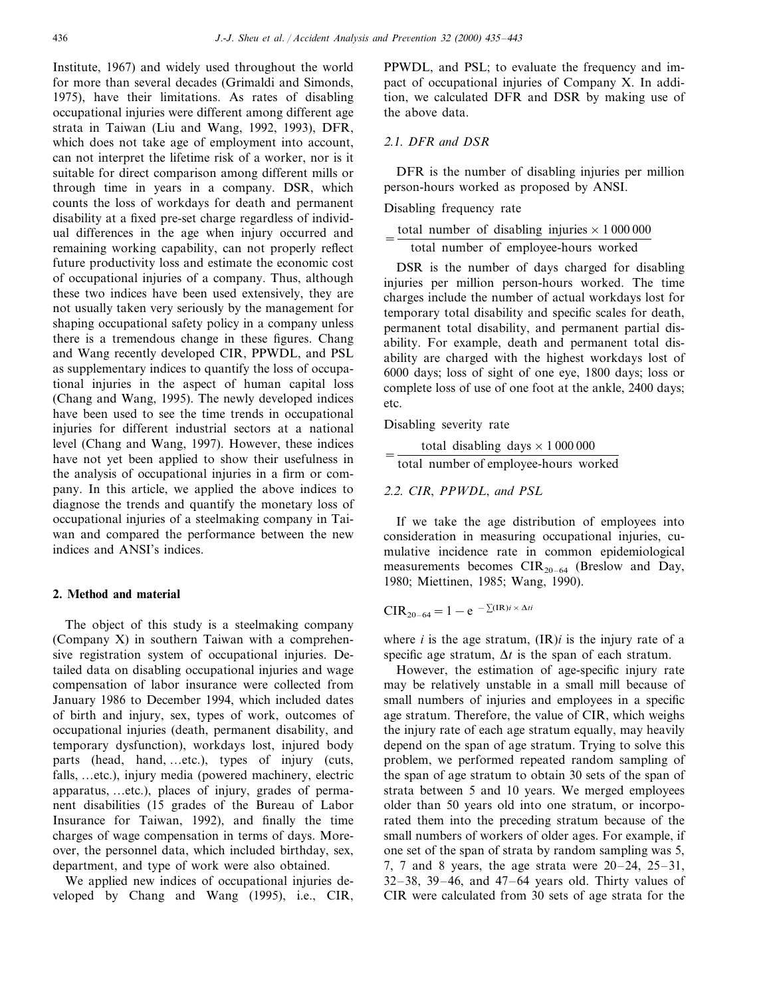Institute, 1967) and widely used throughout the world for more than several decades (Grimaldi and Simonds, 1975), have their limitations. As rates of disabling occupational injuries were different among different age strata in Taiwan (Liu and Wang, 1992, 1993), DFR, which does not take age of employment into account, can not interpret the lifetime risk of a worker, nor is it suitable for direct comparison among different mills or through time in years in a company. DSR, which counts the loss of workdays for death and permanent disability at a fixed pre-set charge regardless of individual differences in the age when injury occurred and remaining working capability, can not properly reflect future productivity loss and estimate the economic cost of occupational injuries of a company. Thus, although these two indices have been used extensively, they are not usually taken very seriously by the management for shaping occupational safety policy in a company unless there is a tremendous change in these figures. Chang and Wang recently developed CIR, PPWDL, and PSL as supplementary indices to quantify the loss of occupational injuries in the aspect of human capital loss (Chang and Wang, 1995). The newly developed indices have been used to see the time trends in occupational injuries for different industrial sectors at a national level (Chang and Wang, 1997). However, these indices have not yet been applied to show their usefulness in the analysis of occupational injuries in a firm or company. In this article, we applied the above indices to diagnose the trends and quantify the monetary loss of occupational injuries of a steelmaking company in Taiwan and compared the performance between the new indices and ANSI's indices.

## **2. Method and material**

The object of this study is a steelmaking company (Company X) in southern Taiwan with a comprehensive registration system of occupational injuries. Detailed data on disabling occupational injuries and wage compensation of labor insurance were collected from January 1986 to December 1994, which included dates of birth and injury, sex, types of work, outcomes of occupational injuries (death, permanent disability, and temporary dysfunction), workdays lost, injured body parts (head, hand, …etc.), types of injury (cuts, falls, …etc.), injury media (powered machinery, electric apparatus, …etc.), places of injury, grades of permanent disabilities (15 grades of the Bureau of Labor Insurance for Taiwan, 1992), and finally the time charges of wage compensation in terms of days. Moreover, the personnel data, which included birthday, sex, department, and type of work were also obtained.

We applied new indices of occupational injuries developed by Chang and Wang (1995), i.e., CIR, PPWDL, and PSL; to evaluate the frequency and impact of occupational injuries of Company X. In addition, we calculated DFR and DSR by making use of the above data.

### <sup>2</sup>.1. *DFR and DSR*

DFR is the number of disabling injuries per million person-hours worked as proposed by ANSI.

Disabling frequency rate

|  |  |  |                                       | total number of disabling injuries $\times$ 1 000 000 |
|--|--|--|---------------------------------------|-------------------------------------------------------|
|  |  |  | total number of employee-hours worked |                                                       |

DSR is the number of days charged for disabling injuries per million person-hours worked. The time charges include the number of actual workdays lost for temporary total disability and specific scales for death, permanent total disability, and permanent partial disability. For example, death and permanent total disability are charged with the highest workdays lost of 6000 days; loss of sight of one eye, 1800 days; loss or complete loss of use of one foot at the ankle, 2400 days; etc.

Disabling severity rate

```
total disabling days \times 1 000 000
total number of employee-hours worked
```
<sup>2</sup>.2. *CIR*, *PPWDL*, *and PSL*

If we take the age distribution of employees into consideration in measuring occupational injuries, cumulative incidence rate in common epidemiological measurements becomes  $CIR_{20-64}$  (Breslow and Day, 1980; Miettinen, 1985; Wang, 1990).

$$
CIR_{20-64} = 1 - e^{-\sum (IR)i \times \Delta ti}
$$

where  $i$  is the age stratum,  $(\text{IR})$ *i* is the injury rate of a specific age stratum,  $\Delta t$  is the span of each stratum.

However, the estimation of age-specific injury rate may be relatively unstable in a small mill because of small numbers of injuries and employees in a specific age stratum. Therefore, the value of CIR, which weighs the injury rate of each age stratum equally, may heavily depend on the span of age stratum. Trying to solve this problem, we performed repeated random sampling of the span of age stratum to obtain 30 sets of the span of strata between 5 and 10 years. We merged employees older than 50 years old into one stratum, or incorporated them into the preceding stratum because of the small numbers of workers of older ages. For example, if one set of the span of strata by random sampling was 5, 7, 7 and 8 years, the age strata were  $20-24$ ,  $25-31$ , 32–38, 39–46, and 47–64 years old. Thirty values of CIR were calculated from 30 sets of age strata for the